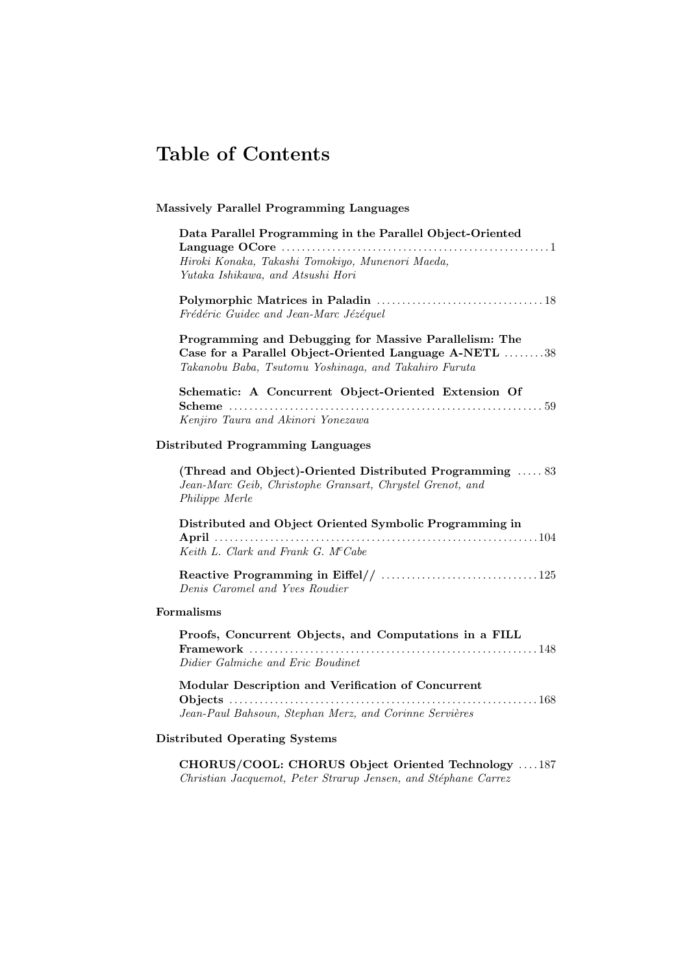## Table of Contents

## Massively Parallel Programming Languages

| Data Parallel Programming in the Parallel Object-Oriented                                                                                                                 |
|---------------------------------------------------------------------------------------------------------------------------------------------------------------------------|
| Hiroki Konaka, Takashi Tomokiyo, Munenori Maeda,<br>Yutaka Ishikawa, and Atsushi Hori                                                                                     |
| Frédéric Guidec and Jean-Marc Jézéquel                                                                                                                                    |
| Programming and Debugging for Massive Parallelism: The<br>Case for a Parallel Object-Oriented Language A-NETL 38<br>Takanobu Baba, Tsutomu Yoshinaga, and Takahiro Furuta |
| Schematic: A Concurrent Object-Oriented Extension Of<br>Kenjiro Taura and Akinori Yonezawa                                                                                |
| <b>Distributed Programming Languages</b>                                                                                                                                  |
| (Thread and Object)-Oriented Distributed Programming  83<br>Jean-Marc Geib, Christophe Gransart, Chrystel Grenot, and<br>Philippe Merle                                   |
| Distributed and Object Oriented Symbolic Programming in                                                                                                                   |
| Keith L. Clark and Frank G. McCabe                                                                                                                                        |
| Denis Caromel and Yves Roudier                                                                                                                                            |
| Formalisms                                                                                                                                                                |
| Proofs, Concurrent Objects, and Computations in a FILL<br>Didier Galmiche and Eric Boudinet                                                                               |
| Modular Description and Verification of Concurrent<br>. 168<br>Jean-Paul Bahsoun, Stephan Merz, and Corinne Servières                                                     |

## Distributed Operating Systems

CHORUS/COOL: CHORUS Object Oriented Technology . . . . 187 Christian Jacquemot, Peter Strarup Jensen, and Stéphane Carrez